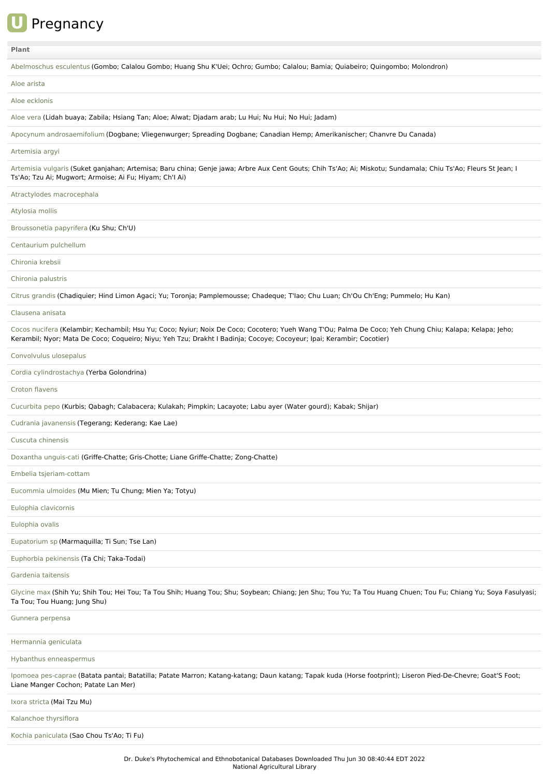

## **[Plant](file:///phytochem/ethnoActivity/ethnoActivityListAll?max=&offset=0&count=&filter=&sort=plant&order=asc)**

| Abelmoschus esculentus (Gombo; Calalou Gombo; Huang Shu K'Uei; Ochro; Gumbo; Calalou; Bamia; Quiabeiro; Quingombo; Molondron)                                                                                                                                                  |
|--------------------------------------------------------------------------------------------------------------------------------------------------------------------------------------------------------------------------------------------------------------------------------|
| Aloe arista                                                                                                                                                                                                                                                                    |
| Aloe ecklonis                                                                                                                                                                                                                                                                  |
| Aloe vera (Lidah buaya; Zabila; Hsiang Tan; Aloe; Alwat; Djadam arab; Lu Hui; Nu Hui; No Hui; Jadam)                                                                                                                                                                           |
| Apocynum androsaemifolium (Dogbane; Vliegenwurger; Spreading Dogbane; Canadian Hemp; Amerikanischer; Chanvre Du Canada)                                                                                                                                                        |
| Artemisia argyi                                                                                                                                                                                                                                                                |
| Artemisia vulgaris (Suket ganjahan; Artemisa; Baru china; Genje jawa; Arbre Aux Cent Gouts; Chih Ts'Ao; Ai; Miskotu; Sundamala; Chiu Ts'Ao; Fleurs St Jean; I<br>Ts'Ao; Tzu Ai; Mugwort; Armoise; Ai Fu; Hiyam; Ch'l Ai)                                                       |
| Atractylodes macrocephala                                                                                                                                                                                                                                                      |
| Atylosia mollis                                                                                                                                                                                                                                                                |
| Broussonetia papyrifera (Ku Shu; Ch'U)                                                                                                                                                                                                                                         |
| Centaurium pulchellum                                                                                                                                                                                                                                                          |
| Chironia krebsii                                                                                                                                                                                                                                                               |
| Chironia palustris                                                                                                                                                                                                                                                             |
| Citrus grandis (Chadiquier; Hind Limon Agaci; Yu; Toronja; Pamplemousse; Chadeque; T'lao; Chu Luan; Ch'Ou Ch'Eng; Pummelo; Hu Kan)                                                                                                                                             |
| Clausena anisata                                                                                                                                                                                                                                                               |
| Cocos nucifera (Kelambir; Kechambil; Hsu Yu; Coco; Nyiur; Noix De Coco; Cocotero; Yueh Wang T'Ou; Palma De Coco; Yeh Chung Chiu; Kalapa; Kelapa; Jeho;<br>Kerambil; Nyor; Mata De Coco; Coqueiro; Niyu; Yeh Tzu; Drakht I Badinja; Cocoye; Cocoyeur; Ipai; Kerambir; Cocotier) |
| Convolvulus ulosepalus                                                                                                                                                                                                                                                         |
| Cordia cylindrostachya (Yerba Golondrina)                                                                                                                                                                                                                                      |
| Croton flavens                                                                                                                                                                                                                                                                 |
| Cucurbita pepo (Kurbis; Qabagh; Calabacera; Kulakah; Pimpkin; Lacayote; Labu ayer (Water gourd); Kabak; Shijar)                                                                                                                                                                |
|                                                                                                                                                                                                                                                                                |
| Cudrania javanensis (Tegerang; Kederang; Kae Lae)                                                                                                                                                                                                                              |
| Cuscuta chinensis                                                                                                                                                                                                                                                              |
| Doxantha unguis-cati (Griffe-Chatte; Gris-Chotte; Liane Griffe-Chatte; Zong-Chatte)                                                                                                                                                                                            |
| Embelia tsjeriam-cottam                                                                                                                                                                                                                                                        |
| Eucommia ulmoides (Mu Mien; Tu Chung; Mien Ya; Totyu)                                                                                                                                                                                                                          |
| Eulophia clavicornis                                                                                                                                                                                                                                                           |
| Eulophia ovalis                                                                                                                                                                                                                                                                |
| Eupatorium sp (Marmaquilla; Ti Sun; Tse Lan)                                                                                                                                                                                                                                   |
| Euphorbia pekinensis (Ta Chi; Taka-Todai)                                                                                                                                                                                                                                      |
| Gardenia taitensis                                                                                                                                                                                                                                                             |
| Glycine max (Shih Yu; Shih Tou; Hei Tou; Ta Tou Shih; Huang Tou; Shu; Soybean; Chiang; Jen Shu; Tou Yu; Ta Tou Huang Chuen; Tou Fu; Chiang Yu; Soya Fasulyasi;<br>Ta Tou; Tou Huang; Jung Shu)                                                                                 |
| Gunnera perpensa                                                                                                                                                                                                                                                               |
| Hermannia geniculata                                                                                                                                                                                                                                                           |
| Hybanthus enneaspermus                                                                                                                                                                                                                                                         |
| Ipomoea pes-caprae (Batata pantai; Batatilla; Patate Marron; Katang-katang; Daun katang; Tapak kuda (Horse footprint); Liseron Pied-De-Chevre; Goat'S Foot;<br>Liane Manger Cochon; Patate Lan Mer)                                                                            |
| Ixora stricta (Mai Tzu Mu)                                                                                                                                                                                                                                                     |
| Kalanchoe thyrsiflora                                                                                                                                                                                                                                                          |